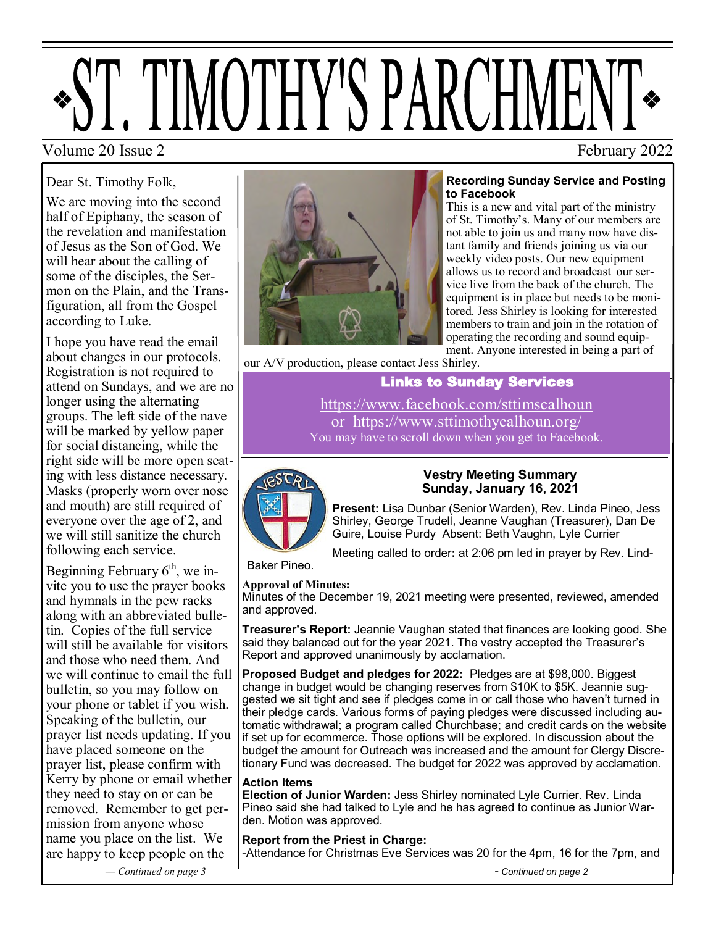# ST. TIMOTHY'S PARCHM Volume 20 Issue 2 February 2022

## Dear St. Timothy Folk,

We are moving into the second half of Epiphany, the season of the revelation and manifestation of Jesus as the Son of God. We will hear about the calling of some of the disciples, the Sermon on the Plain, and the Transfiguration, all from the Gospel according to Luke.

I hope you have read the email about changes in our protocols. Registration is not required to attend on Sundays, and we are no longer using the alternating groups. The left side of the nave will be marked by yellow paper for social distancing, while the right side will be more open seating with less distance necessary. Masks (properly worn over nose and mouth) are still required of everyone over the age of 2, and we will still sanitize the church following each service.

Beginning February  $6<sup>th</sup>$ , we invite you to use the prayer books and hymnals in the pew racks along with an abbreviated bulletin. Copies of the full service will still be available for visitors and those who need them. And we will continue to email the full bulletin, so you may follow on your phone or tablet if you wish. Speaking of the bulletin, our prayer list needs updating. If you have placed someone on the prayer list, please confirm with Kerry by phone or email whether they need to stay on or can be removed. Remember to get permission from anyone whose name you place on the list. We are happy to keep people on the



#### **Recording Sunday Service and Posting to Facebook**

This is a new and vital part of the ministry of St. Timothy's. Many of our members are not able to join us and many now have distant family and friends joining us via our weekly video posts. Our new equipment allows us to record and broadcast our service live from the back of the church. The equipment is in place but needs to be monitored. Jess Shirley is looking for interested members to train and join in the rotation of operating the recording and sound equipment. Anyone interested in being a part of

our A/V production, please contact Jess Shirley.

## Links to Sunday Services

<https://www.facebook.com/sttimscalhoun> or https://www.sttimothycalhoun.org/ You may have to scroll down when you get to Facebook.



#### **Vestry Meeting Summary Sunday, January 16, 2021**

**Present:** Lisa Dunbar (Senior Warden), Rev. Linda Pineo, Jess Shirley, George Trudell, Jeanne Vaughan (Treasurer), Dan De Guire, Louise Purdy Absent: Beth Vaughn, Lyle Currier

Meeting called to order**:** at 2:06 pm led in prayer by Rev. Lind-

Baker Pineo.

#### **Approval of Minutes:**

Minutes of the December 19, 2021 meeting were presented, reviewed, amended and approved.

**Treasurer's Report:** Jeannie Vaughan stated that finances are looking good. She said they balanced out for the year 2021. The vestry accepted the Treasurer's Report and approved unanimously by acclamation.

**Proposed Budget and pledges for 2022:** Pledges are at \$98,000. Biggest change in budget would be changing reserves from \$10K to \$5K. Jeannie suggested we sit tight and see if pledges come in or call those who haven't turned in their pledge cards. Various forms of paying pledges were discussed including automatic withdrawal; a program called Churchbase; and credit cards on the website if set up for ecommerce. Those options will be explored. In discussion about the budget the amount for Outreach was increased and the amount for Clergy Discretionary Fund was decreased. The budget for 2022 was approved by acclamation.

#### **Action Items**

**Election of Junior Warden:** Jess Shirley nominated Lyle Currier. Rev. Linda Pineo said she had talked to Lyle and he has agreed to continue as Junior Warden. Motion was approved.

### **Report from the Priest in Charge:**

-Attendance for Christmas Eve Services was 20 for the 4pm, 16 for the 7pm, and

*— Continued on page 3*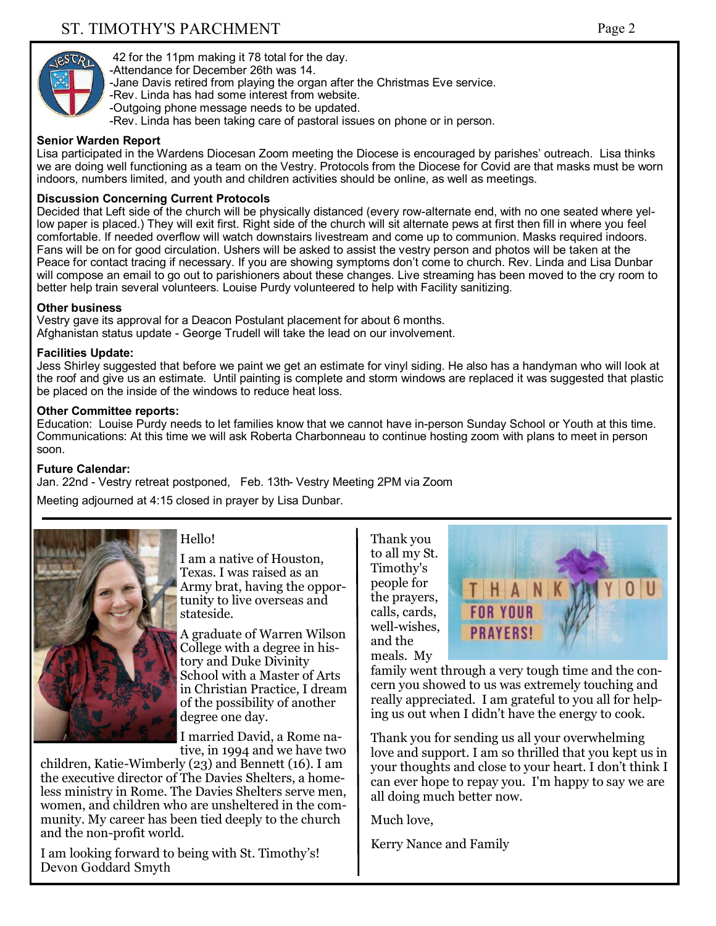## ST. TIMOTHY'S PARCHMENT



- 42 for the 11pm making it 78 total for the day.
- -Attendance for December 26th was 14.
- -Jane Davis retired from playing the organ after the Christmas Eve service.
- -Rev. Linda has had some interest from website.
- -Outgoing phone message needs to be updated.
- -Rev. Linda has been taking care of pastoral issues on phone or in person.

#### **Senior Warden Report**

Lisa participated in the Wardens Diocesan Zoom meeting the Diocese is encouraged by parishes' outreach. Lisa thinks we are doing well functioning as a team on the Vestry. Protocols from the Diocese for Covid are that masks must be worn indoors, numbers limited, and youth and children activities should be online, as well as meetings.

#### **Discussion Concerning Current Protocols**

Decided that Left side of the church will be physically distanced (every row-alternate end, with no one seated where yellow paper is placed.) They will exit first. Right side of the church will sit alternate pews at first then fill in where you feel comfortable. If needed overflow will watch downstairs livestream and come up to communion. Masks required indoors. Fans will be on for good circulation. Ushers will be asked to assist the vestry person and photos will be taken at the Peace for contact tracing if necessary. If you are showing symptoms don't come to church. Rev. Linda and Lisa Dunbar will compose an email to go out to parishioners about these changes. Live streaming has been moved to the cry room to better help train several volunteers. Louise Purdy volunteered to help with Facility sanitizing.

#### **Other business**

Vestry gave its approval for a Deacon Postulant placement for about 6 months. Afghanistan status update - George Trudell will take the lead on our involvement.

#### **Facilities Update:**

Jess Shirley suggested that before we paint we get an estimate for vinyl siding. He also has a handyman who will look at the roof and give us an estimate. Until painting is complete and storm windows are replaced it was suggested that plastic be placed on the inside of the windows to reduce heat loss.

#### **Other Committee reports:**

Education: Louise Purdy needs to let families know that we cannot have in-person Sunday School or Youth at this time. Communications: At this time we will ask Roberta Charbonneau to continue hosting zoom with plans to meet in person soon.

#### **Future Calendar:**

Jan. 22nd - Vestry retreat postponed, Feb. 13th- Vestry Meeting 2PM via Zoom

Meeting adjourned at 4:15 closed in prayer by Lisa Dunbar.



### Hello!

I am a native of Houston, Texas. I was raised as an Army brat, having the opportunity to live overseas and stateside.

A graduate of Warren Wilson College with a degree in history and Duke Divinity School with a Master of Arts in Christian Practice, I dream of the possibility of another degree one day.

I married David, a Rome native, in 1994 and we have two

children, Katie-Wimberly (23) and Bennett (16). I am the executive director of The Davies Shelters, a homeless ministry in Rome. The Davies Shelters serve men, women, and children who are unsheltered in the community. My career has been tied deeply to the church and the non-profit world.

I am looking forward to being with St. Timothy's! Devon Goddard Smyth

Thank you to all my St. Timothy's people for the prayers, calls, cards, well-wishes, and the meals. My



family went through a very tough time and the concern you showed to us was extremely touching and really appreciated. I am grateful to you all for helping us out when I didn't have the energy to cook.

Thank you for sending us all your overwhelming love and support. I am so thrilled that you kept us in your thoughts and close to your heart. I don't think I can ever hope to repay you. I'm happy to say we are all doing much better now.

Much love,

Kerry Nance and Family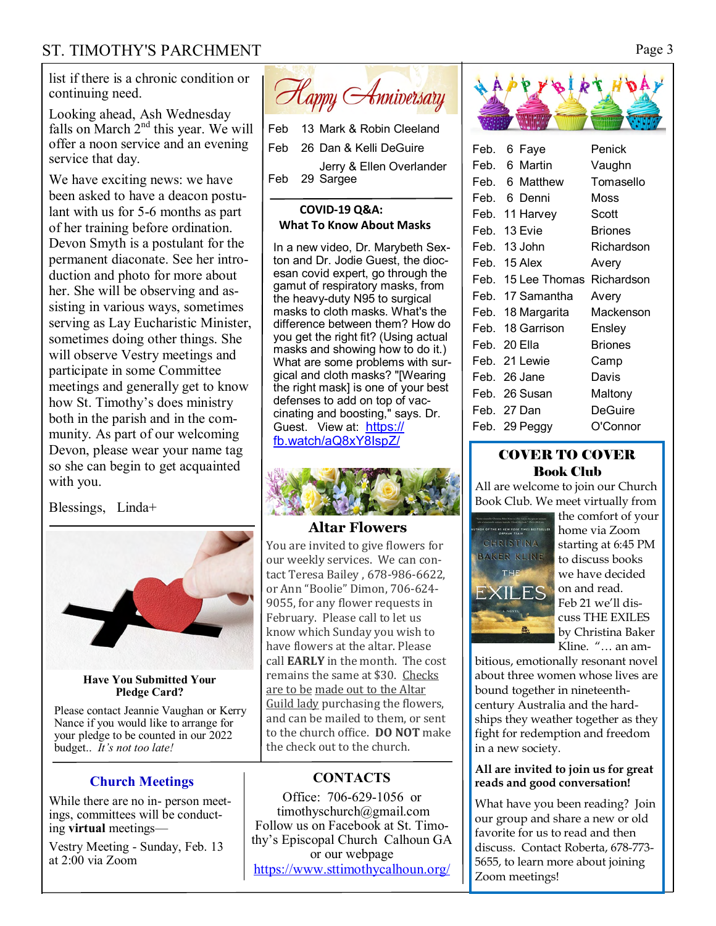list if there is a chronic condition or continuing need.

Looking ahead, Ash Wednesday falls on March  $2<sup>nd</sup>$  this year. We will offer a noon service and an evening service that day.

We have exciting news: we have been asked to have a deacon postulant with us for 5-6 months as part of her training before ordination. Devon Smyth is a postulant for the permanent diaconate. See her introduction and photo for more about her. She will be observing and assisting in various ways, sometimes serving as Lay Eucharistic Minister, sometimes doing other things. She will observe Vestry meetings and participate in some Committee meetings and generally get to know how St. Timothy's does ministry both in the parish and in the community. As part of our welcoming Devon, please wear your name tag so she can begin to get acquainted with you.

Blessings, Linda+



**Have You Submitted Your Pledge Card?**

Please contact Jeannie Vaughan or Kerry Nance if you would like to arrange for your pledge to be counted in our 2022 budget.. *It's not too late!*

## **Church Meetings**

While there are no in- person meetings, committees will be conducting **virtual** meetings—

Vestry Meeting - Sunday, Feb. 13 at 2:00 via Zoom

| Happy Anniversary |  |
|-------------------|--|
|-------------------|--|

- Feb 13 Mark & Robin Cleeland
- Feb 26 Dan & Kelli DeGuire

Feb 29 Sargee Jerry & Ellen Overlander

### **COVID-19 Q&A: What To Know About Masks**

In a new video, Dr. Marybeth Sexton and Dr. Jodie Guest, the diocesan covid expert, go through the gamut of respiratory masks, from the heavy-duty N95 to surgical masks to cloth masks. What's the difference between them? How do you get the right fit? (Using actual masks and showing how to do it.) What are some problems with surgical and cloth masks? "[Wearing the right mask] is one of your best defenses to add on top of vaccinating and boosting," says. Dr. Guest. View at: [https://](https://fb.watch/aQ8xY8IspZ/) [fb.watch/aQ8xY8IspZ/](https://fb.watch/aQ8xY8IspZ/)



## **Altar Flowers**

You are invited to give flowers for our weekly services. We can contact Teresa Bailey , 678-986-6622, or Ann "Boolie" Dimon, 706-624- 9055, for any flower requests in February. Please call to let us know which Sunday you wish to have flowers at the altar. Please call **EARLY** in the month. The cost remains the same at \$30. Checks are to be made out to the Altar Guild lady purchasing the flowers, and can be mailed to them, or sent to the church office. **DO NOT** make the check out to the church.

## **CONTACTS**

Office: 706-629-1056 or timothyschurch@gmail.com Follow us on Facebook at St. Timothy's Episcopal Church Calhoun GA or our webpage <https://www.sttimothycalhoun.org/>



| Feb. . | 6 Faye                        | Penick     |
|--------|-------------------------------|------------|
|        | Feb. 6 Martin                 | Vaughn     |
|        | Feb. 6 Matthew                | Tomasello  |
|        | Feb. 6 Denni                  | Moss       |
|        | Feb. 11 Harvey                | Scott      |
|        | Feb. 13 Evie                  | Briones    |
|        | Feb. 13 John                  | Richardson |
|        | Feb. 15 Alex                  | Avery      |
|        | Feb. 15 Lee Thomas Richardson |            |
|        | Feb. 17 Samantha              | Avery      |
|        | Feb. 18 Margarita             | Mackenson  |
|        | Feb. 18 Garrison              | Ensley     |
|        | Feb. 20 Ella                  | Briones    |
|        | Feb. 21 Lewie                 | Camp       |
|        | Feb. 26 Jane                  | Davis      |
|        | Feb. 26 Susan                 | Maltony    |
|        | Feb. 27 Dan                   | DeGuire    |
|        | Feb. 29 Peggy                 | O'Connor   |

## COVER TO COVER Book Club

All are welcome to join our Church Book Club. We meet virtually from



the comfort of your home via Zoom starting at 6:45 PM to discuss books we have decided on and read. Feb 21 we'll discuss THE EXILES by Christina Baker Kline. "… an am-

bitious, emotionally resonant novel about three women whose lives are bound together in nineteenthcentury Australia and the hardships they weather together as they fight for redemption and freedom in a new society.

#### **All are invited to join us for great reads and good conversation!**

What have you been reading? Join our group and share a new or old favorite for us to read and then discuss. Contact Roberta, 678-773- 5655, to learn more about joining Zoom meetings!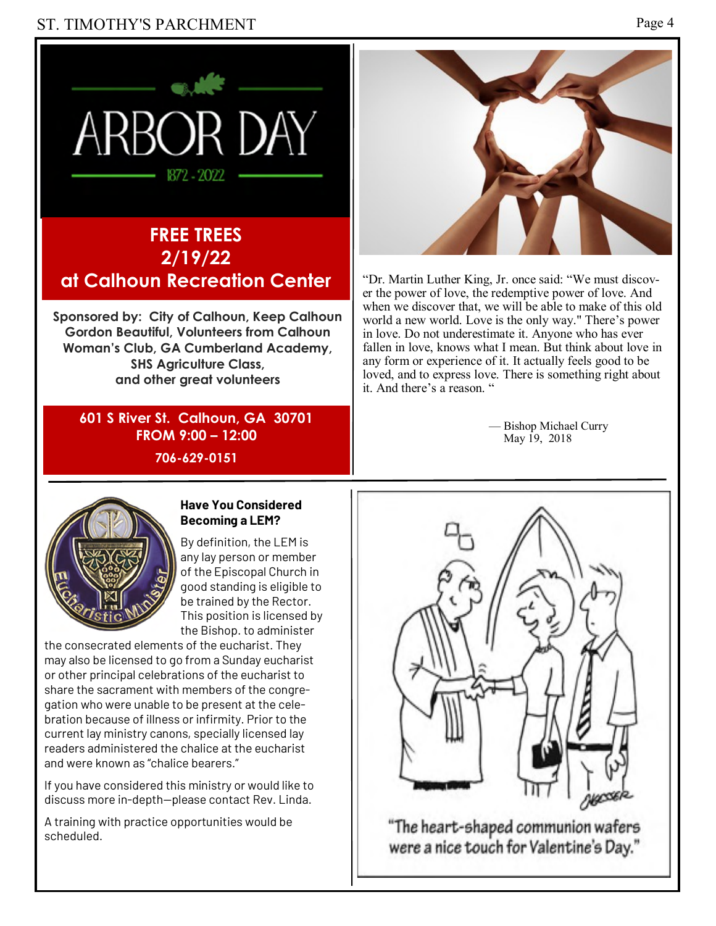## ST. TIMOTHY'S PARCHMENT Page 4



## **FREE TREES 2/19/22 at Calhoun Recreation Center**

**Sponsored by: City of Calhoun, Keep Calhoun Gordon Beautiful, Volunteers from Calhoun Woman's Club, GA Cumberland Academy, SHS Agriculture Class, and other great volunteers**

**601 S River St. Calhoun, GA 30701 FROM 9:00 – 12:00 706-629-0151**



"Dr. Martin Luther King, Jr. once said: "We must discover the power of love, the redemptive power of love. And when we discover that, we will be able to make of this old world a new world. Love is the only way." There's power in love. Do not underestimate it. Anyone who has ever fallen in love, knows what I mean. But think about love in any form or experience of it. It actually feels good to be loved, and to express love. There is something right about it. And there's a reason. "

> — Bishop Michael Curry May 19, 2018



#### **Have You Considered Becoming a LEM?**

By definition, the LEM is any lay person or member of the Episcopal Church in good standing is eligible to be trained by the Rector. This position is licensed by the Bishop. to administer

the consecrated elements of the eucharist. They may also be licensed to go from a Sunday eucharist or other principal celebrations of the eucharist to share the sacrament with members of the congregation who were unable to be present at the celebration because of illness or infirmity. Prior to the current lay ministry canons, specially licensed lay readers administered the chalice at the eucharist and were known as "chalice bearers."

If you have considered this ministry or would like to discuss more in-depth—please contact Rev. Linda.

A training with practice opportunities would be scheduled.



"The heart-shaped communion wafers were a nice touch for Valentine's Day."